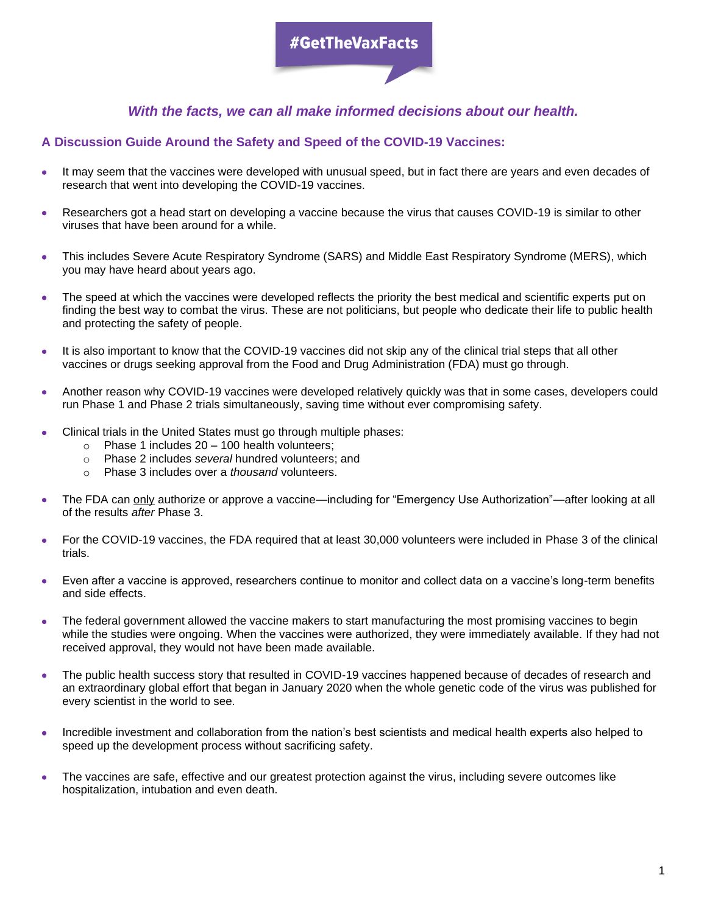# #GetTheVaxFacts

## *With the facts, we can all make informed decisions about our health.*

### **A Discussion Guide Around the Safety and Speed of the COVID-19 Vaccines:**

- It may seem that the vaccines were developed with unusual speed, but in fact there are years and even decades of research that went into developing the COVID-19 vaccines.
- Researchers got a head start on developing a vaccine because the virus that causes COVID-19 is similar to other viruses that have been around for a while.
- This includes Severe Acute Respiratory Syndrome (SARS) and Middle East Respiratory Syndrome (MERS), which you may have heard about years ago.
- The speed at which the vaccines were developed reflects the priority the best medical and scientific experts put on finding the best way to combat the virus. These are not politicians, but people who dedicate their life to public health and protecting the safety of people.
- It is also important to know that the COVID-19 vaccines did not skip any of the clinical trial steps that all other vaccines or drugs seeking approval from the Food and Drug Administration (FDA) must go through.
- Another reason why COVID-19 vaccines were developed relatively quickly was that in some cases, developers could run Phase 1 and Phase 2 trials simultaneously, saving time without ever compromising safety.
- Clinical trials in the United States must go through multiple phases:
	- $\circ$  Phase 1 includes 20 100 health volunteers;
	- o Phase 2 includes *several* hundred volunteers; and
	- o Phase 3 includes over a *thousand* volunteers.
- The FDA can only authorize or approve a vaccine—including for "Emergency Use Authorization"—after looking at all of the results *after* Phase 3.
- For the COVID-19 vaccines, the FDA required that at least 30,000 volunteers were included in Phase 3 of the clinical trials.
- Even after a vaccine is approved, researchers continue to monitor and collect data on a vaccine's long-term benefits and side effects.
- The federal government allowed the vaccine makers to start manufacturing the most promising vaccines to begin while the studies were ongoing. When the vaccines were authorized, they were immediately available. If they had not received approval, they would not have been made available.
- The public health success story that resulted in COVID-19 vaccines happened because of decades of research and an extraordinary global effort that began in January 2020 when the whole genetic code of the virus was published for every scientist in the world to see.
- Incredible investment and collaboration from the nation's best scientists and medical health experts also helped to speed up the development process without sacrificing safety.
- The vaccines are safe, effective and our greatest protection against the virus, including severe outcomes like hospitalization, intubation and even death.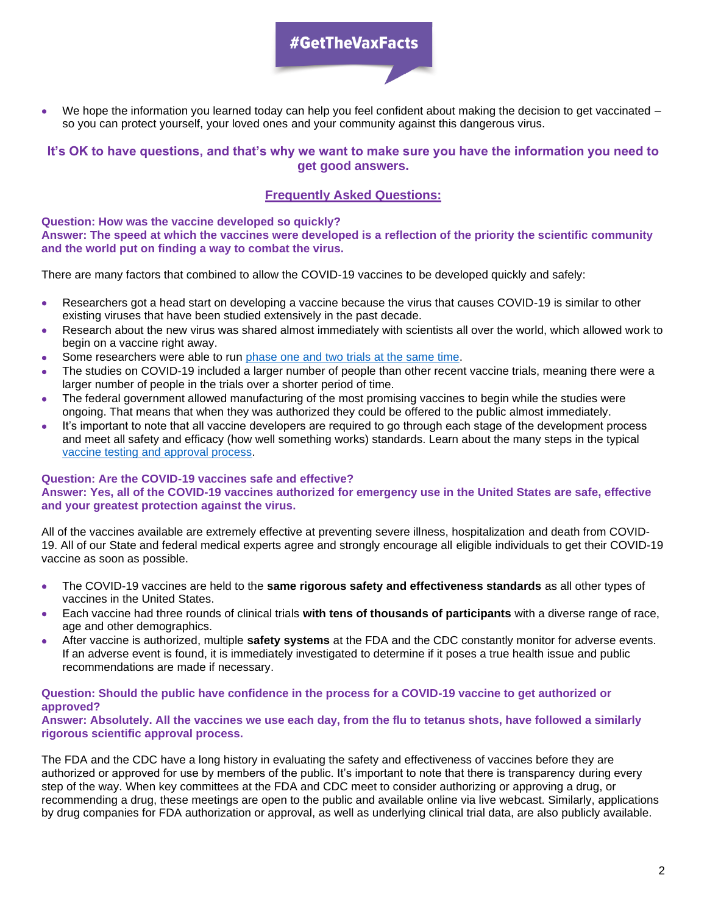# #GetTheVaxFacts

We hope the information you learned today can help you feel confident about making the decision to get vaccinated – so you can protect yourself, your loved ones and your community against this dangerous virus.

### **It's OK to have questions, and that's why we want to make sure you have the information you need to get good answers.**

## **Frequently Asked Questions:**

**Question: How was the vaccine developed so quickly? Answer: The speed at which the vaccines were developed is a reflection of the priority the scientific community and the world put on finding a way to combat the virus.** 

There are many factors that combined to allow the COVID-19 vaccines to be developed quickly and safely:

- Researchers got a head start on developing a vaccine because the virus that causes COVID-19 is similar to other existing viruses that have been studied extensively in the past decade.
- Research about the new virus was shared almost immediately with scientists all over the world, which allowed work to begin on a vaccine right away.
- Some researchers were able to run [phase one and two trials at the same time.](https://www.cdc.gov/vaccinesafety/ensuringsafety/)
- The studies on COVID-19 included a larger number of people than other recent vaccine trials, meaning there were a larger number of people in the trials over a shorter period of time.
- The federal government allowed manufacturing of the most promising vaccines to begin while the studies were ongoing. That means that when they was authorized they could be offered to the public almost immediately.
- It's important to note that all vaccine developers are required to go through each stage of the development process and meet all safety and efficacy (how well something works) standards. Learn about the many steps in the typical [vaccine testing and approval process.](https://www.cdc.gov/vaccines/basics/test-approve.html)

### **Question: Are the COVID-19 vaccines safe and effective?**

**Answer: Yes, all of the COVID-19 vaccines authorized for emergency use in the United States are safe, effective and your greatest protection against the virus.** 

All of the vaccines available are extremely effective at preventing severe illness, hospitalization and death from COVID-19. All of our State and federal medical experts agree and strongly encourage all eligible individuals to get their COVID-19 vaccine as soon as possible.

- The COVID-19 vaccines are held to the **same rigorous safety and effectiveness standards** as all other types of vaccines in the United States.
- Each vaccine had three rounds of clinical trials **with tens of thousands of participants** with a diverse range of race, age and other demographics.
- After vaccine is authorized, multiple **safety systems** at the FDA and the CDC constantly monitor for adverse events. If an adverse event is found, it is immediately investigated to determine if it poses a true health issue and public recommendations are made if necessary.

#### **Question: Should the public have confidence in the process for a COVID-19 vaccine to get authorized or approved?**

**Answer: Absolutely. All the vaccines we use each day, from the flu to tetanus shots, have followed a similarly rigorous scientific approval process.** 

The FDA and the CDC have a long history in evaluating the safety and effectiveness of vaccines before they are authorized or approved for use by members of the public. It's important to note that there is transparency during every step of the way. When key committees at the FDA and CDC meet to consider authorizing or approving a drug, or recommending a drug, these meetings are open to the public and available online via live webcast. Similarly, applications by drug companies for FDA authorization or approval, as well as underlying clinical trial data, are also publicly available.